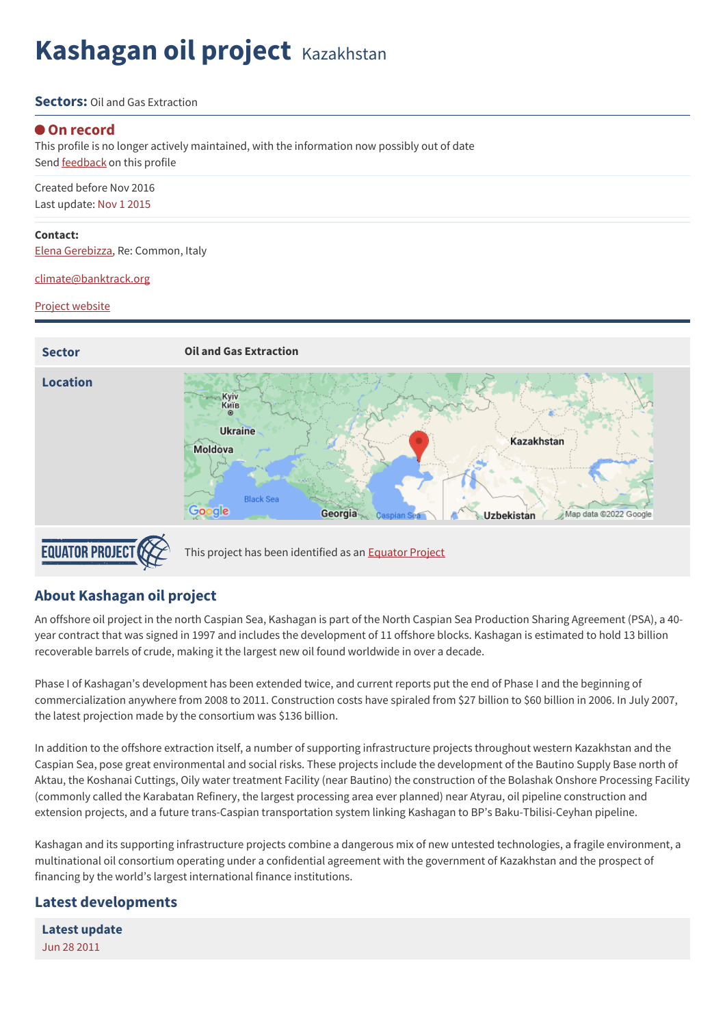# **Kashagan oil project** Kazakhstan

#### **Sectors:** Oil and Gas Extraction

#### **On record**

This profile is no longer actively maintained, with the information now possibly out of date Send **[feedback](https://www.banktrack.org/feedback/dodgydeal/kashagan_oil_project)** on this profile

Created before Nov 2016 Last update: Nov 1 2015

#### **Contact:**

Elena [Gerebizza](mailto:egerebizza@crbm.org), Re: Common, Italy

[climate@banktrack.org](mailto:climate@banktrack.org)

#### Project website



## **About Kashagan oil project**

An offshore oil project in the north Caspian Sea, Kashagan is part of the North Caspian Sea Production Sharing Agreement (PSA), a 40 year contract that was signed in 1997 and includes the development of 11 offshore blocks. Kashagan is estimated to hold 13 billion recoverable barrels of crude, making it the largest new oil found worldwide in over a decade.

Phase I of Kashagan's development has been extended twice, and current reports put the end of Phase I and the beginning of commercialization anywhere from 2008 to 2011. Construction costs have spiraled from \$27 billion to \$60 billion in 2006. In July 2007, the latest projection made by the consortium was \$136 billion.

In addition to the offshore extraction itself, a number of supporting infrastructure projects throughout western Kazakhstan and the Caspian Sea, pose great environmental and social risks. These projects include the development of the Bautino Supply Base north of Aktau, the Koshanai Cuttings, Oily water treatment Facility (near Bautino) the construction of the Bolashak Onshore Processing Facility (commonly called the Karabatan Refinery, the largest processing area ever planned) near Atyrau, oil pipeline construction and extension projects, and a future trans-Caspian transportation system linking Kashagan to BP's Baku-Tbilisi-Ceyhan pipeline.

Kashagan and its supporting infrastructure projects combine a dangerous mix of new untested technologies, a fragile environment, a multinational oil consortium operating under a confidential agreement with the government of Kazakhstan and the prospect of financing by the world's largest international finance institutions.

### **Latest developments**

**Latest [update](javascript:void(0))** Jun 28 2011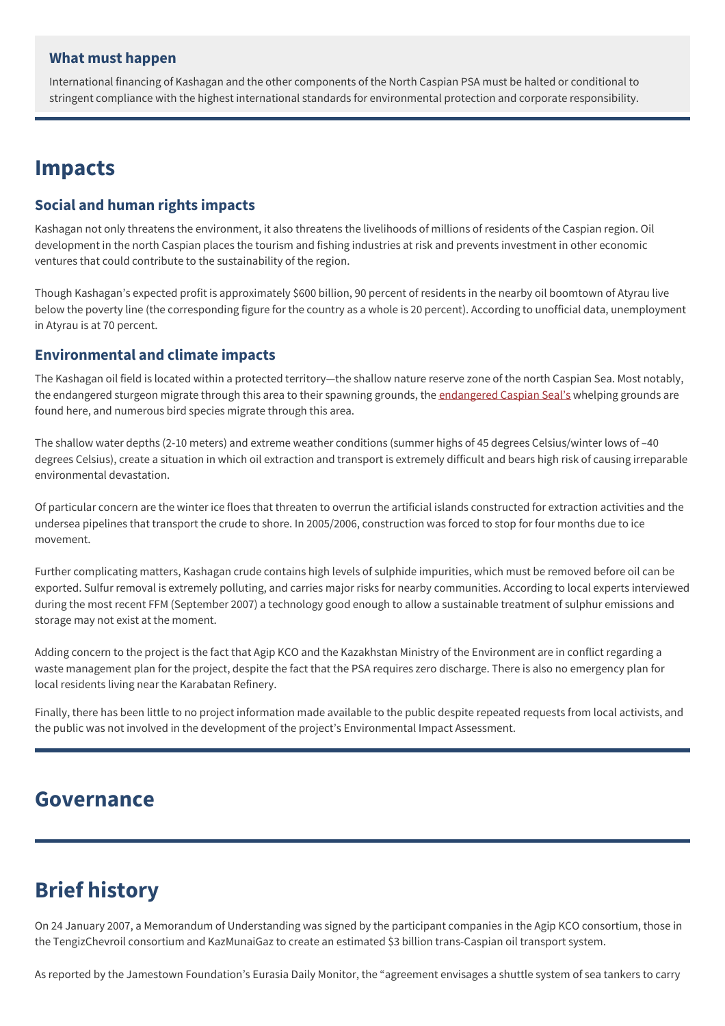### **What must happen**

International financing of Kashagan and the other components of the North Caspian PSA must be halted or conditional to stringent compliance with the highest international standards for environmental protection and corporate responsibility.

## **Impacts**

## **Social and human rights impacts**

Kashagan not only threatens the environment, it also threatens the livelihoods of millions of residents of the Caspian region. Oil development in the north Caspian places the tourism and fishing industries at risk and prevents investment in other economic ventures that could contribute to the sustainability of the region.

Though Kashagan's expected profit is approximately \$600 billion, 90 percent of residents in the nearby oil boomtown of Atyrau live below the poverty line (the corresponding figure for the country as a whole is 20 percent). According to unofficial data, unemployment in Atyrau is at 70 percent.

### **Environmental and climate impacts**

The Kashagan oil field is located within a protected territory—the shallow nature reserve zone of the north Caspian Sea. Most notably, the [endangered](http://iucn.org/about/work/programmes/species/red_list/2008_threatened_species_photo_gallery___case_studies/index.cfm) sturgeon migrate through this area to their spawning grounds, the endangered Caspian Seal's whelping grounds are found here, and numerous bird species migrate through this area.

The shallow water depths (2-10 meters) and extreme weather conditions (summer highs of 45 degrees Celsius/winter lows of –40 degrees Celsius), create a situation in which oil extraction and transport is extremely difficult and bears high risk of causing irreparable environmental devastation.

Of particular concern are the winter ice floes that threaten to overrun the artificial islands constructed for extraction activities and the undersea pipelines that transport the crude to shore. In 2005/2006, construction was forced to stop for four months due to ice movement.

Further complicating matters, Kashagan crude contains high levels of sulphide impurities, which must be removed before oil can be exported. Sulfur removal is extremely polluting, and carries major risks for nearby communities. According to local experts interviewed during the most recent FFM (September 2007) a technology good enough to allow a sustainable treatment of sulphur emissions and storage may not exist at the moment.

Adding concern to the project is the fact that Agip KCO and the Kazakhstan Ministry of the Environment are in conflict regarding a waste management plan for the project, despite the fact that the PSA requires zero discharge. There is also no emergency plan for local residents living near the Karabatan Refinery.

Finally, there has been little to no project information made available to the public despite repeated requests from local activists, and the public was not involved in the development of the project's Environmental Impact Assessment.

## **Governance**

## **Brief history**

On 24 January 2007, a Memorandum of Understanding was signed by the participant companies in the Agip KCO consortium, those in the TengizChevroil consortium and KazMunaiGaz to create an estimated \$3 billion trans-Caspian oil transport system.

As reported by the Jamestown Foundation's Eurasia Daily Monitor, the "agreement envisages a shuttle system of sea tankers to carry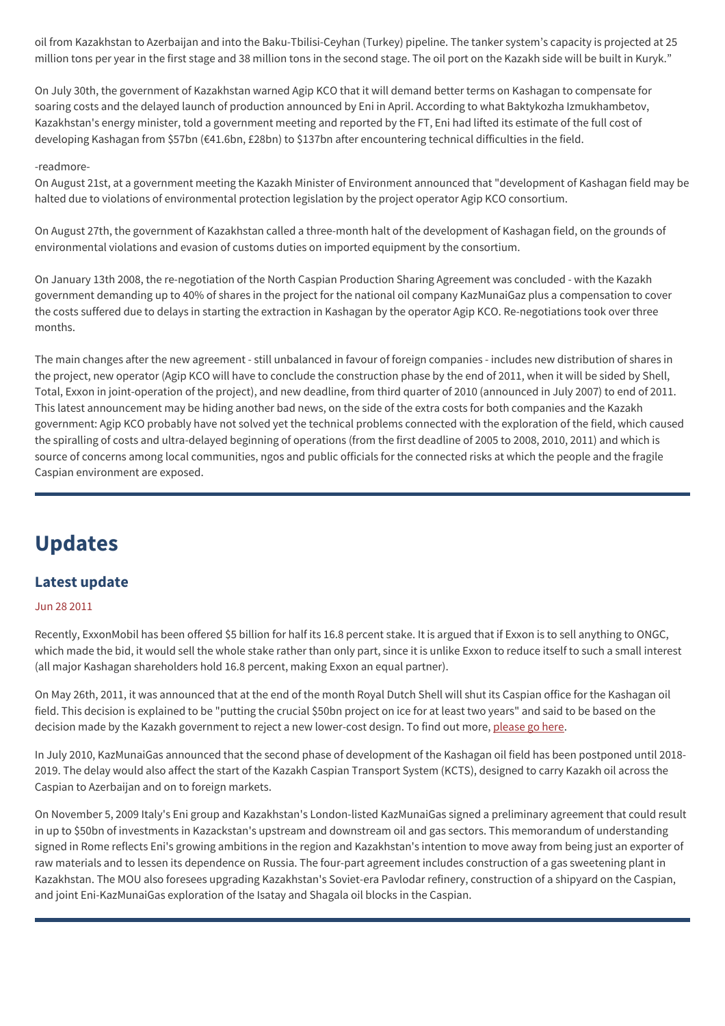oil from Kazakhstan to Azerbaijan and into the Baku-Tbilisi-Ceyhan (Turkey) pipeline. The tanker system's capacity is projected at 25 million tons per year in the first stage and 38 million tons in the second stage. The oil port on the Kazakh side will be built in Kuryk."

On July 30th, the government of Kazakhstan warned Agip KCO that it will demand better terms on Kashagan to compensate for soaring costs and the delayed launch of production announced by Eni in April. According to what Baktykozha Izmukhambetov, Kazakhstan's energy minister, told a government meeting and reported by the FT, Eni had lifted its estimate of the full cost of developing Kashagan from \$57bn (€41.6bn, £28bn) to \$137bn after encountering technical difficulties in the field.

#### -readmore-

On August 21st, at a government meeting the Kazakh Minister of Environment announced that "development of Kashagan field may be halted due to violations of environmental protection legislation by the project operator Agip KCO consortium.

On August 27th, the government of Kazakhstan called a three-month halt of the development of Kashagan field, on the grounds of environmental violations and evasion of customs duties on imported equipment by the consortium.

On January 13th 2008, the re-negotiation of the North Caspian Production Sharing Agreement was concluded - with the Kazakh government demanding up to 40% of shares in the project for the national oil company KazMunaiGaz plus a compensation to cover the costs suffered due to delays in starting the extraction in Kashagan by the operator Agip KCO. Re-negotiations took over three months.

The main changes after the new agreement - still unbalanced in favour of foreign companies - includes new distribution of shares in the project, new operator (Agip KCO will have to conclude the construction phase by the end of 2011, when it will be sided by Shell, Total, Exxon in joint-operation of the project), and new deadline, from third quarter of 2010 (announced in July 2007) to end of 2011. This latest announcement may be hiding another bad news, on the side of the extra costs for both companies and the Kazakh government: Agip KCO probably have not solved yet the technical problems connected with the exploration of the field, which caused the spiralling of costs and ultra-delayed beginning of operations (from the first deadline of 2005 to 2008, 2010, 2011) and which is source of concerns among local communities, ngos and public officials for the connected risks at which the people and the fragile Caspian environment are exposed.

## **Updates**

## **Latest update**

#### Jun 28 2011

Recently, ExxonMobil has been offered \$5 billion for half its 16.8 percent stake. It is argued that if Exxon is to sell anything to ONGC, which made the bid, it would sell the whole stake rather than only part, since it is unlike Exxon to reduce itself to such a small interest (all major Kashagan shareholders hold 16.8 percent, making Exxon an equal partner).

On May 26th, 2011, it was announced that at the end of the month Royal Dutch Shell will shut its Caspian office for the Kashagan oil field. This decision is explained to be "putting the crucial \$50bn project on ice for at least two years" and said to be based on the decision made by the Kazakh government to reject a new lower-cost design. To find out more, [please](http://www.telegraph.co.uk/finance/newsbysector/energy/oilandgas/8530144/Shell-shuts-Caspian-office-50bn-Kashagan-project-on-ice.html) go here.

In July 2010, KazMunaiGas announced that the second phase of development of the Kashagan oil field has been postponed until 2018- 2019. The delay would also affect the start of the Kazakh Caspian Transport System (KCTS), designed to carry Kazakh oil across the Caspian to Azerbaijan and on to foreign markets.

On November 5, 2009 Italy's Eni group and Kazakhstan's London-listed KazMunaiGas signed a preliminary agreement that could result in up to \$50bn of investments in Kazackstan's upstream and downstream oil and gas sectors. This memorandum of understanding signed in Rome reflects Eni's growing ambitions in the region and Kazakhstan's intention to move away from being just an exporter of raw materials and to lessen its dependence on Russia. The four-part agreement includes construction of a gas sweetening plant in Kazakhstan. The MOU also foresees upgrading Kazakhstan's Soviet-era Pavlodar refinery, construction of a shipyard on the Caspian, and joint Eni-KazMunaiGas exploration of the Isatay and Shagala oil blocks in the Caspian.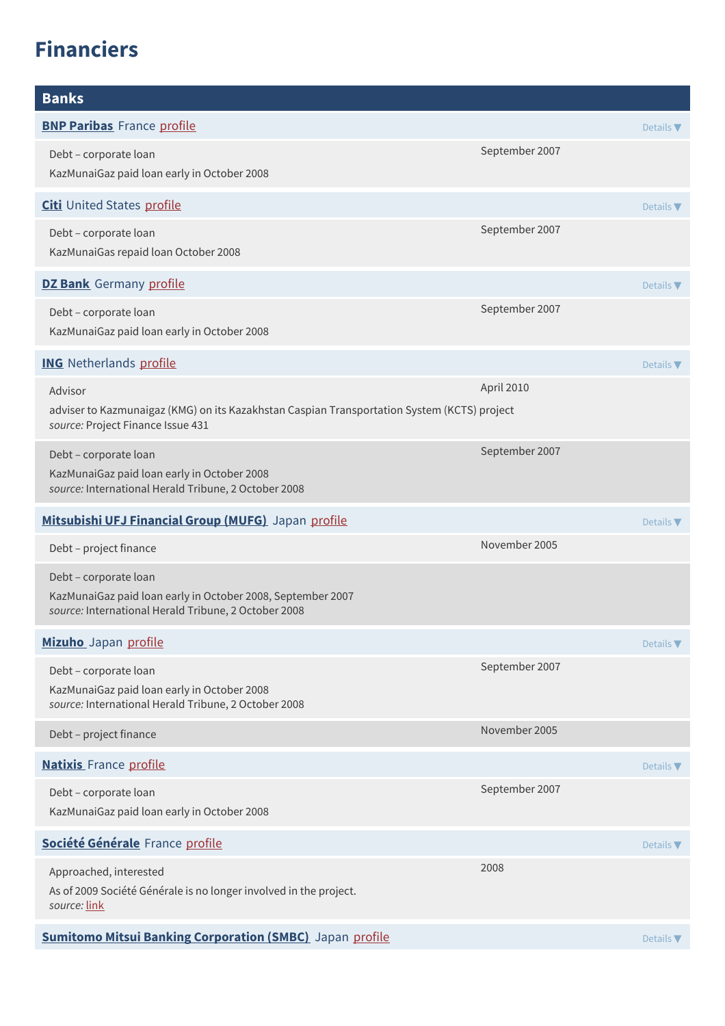# **Financiers**

| <b>Banks</b>                                                                                                                                 |                |                              |
|----------------------------------------------------------------------------------------------------------------------------------------------|----------------|------------------------------|
| <b>BNP Paribas</b> France profile                                                                                                            |                | Details $\nabla$             |
| Debt - corporate loan<br>KazMunaiGaz paid loan early in October 2008                                                                         | September 2007 |                              |
| <b>Citi</b> United States profile                                                                                                            |                | Details $\nabla$             |
| Debt - corporate loan<br>KazMunaiGas repaid loan October 2008                                                                                | September 2007 |                              |
| <b>DZ Bank</b> Germany profile                                                                                                               |                | Details $\nabla$             |
| Debt - corporate loan<br>KazMunaiGaz paid loan early in October 2008                                                                         | September 2007 |                              |
| <b>ING</b> Netherlands profile                                                                                                               |                | Details $\nabla$             |
| Advisor<br>adviser to Kazmunaigaz (KMG) on its Kazakhstan Caspian Transportation System (KCTS) project<br>source: Project Finance Issue 431  | April 2010     |                              |
| Debt - corporate loan<br>KazMunaiGaz paid loan early in October 2008<br>source: International Herald Tribune, 2 October 2008                 | September 2007 |                              |
| Mitsubishi UFJ Financial Group (MUFG) Japan profile                                                                                          |                | Details $\nabla$             |
| Debt - project finance                                                                                                                       | November 2005  |                              |
| Debt - corporate loan<br>KazMunaiGaz paid loan early in October 2008, September 2007<br>source: International Herald Tribune, 2 October 2008 |                |                              |
| Mizuho Japan profile                                                                                                                         |                | Details $\blacktriangledown$ |
| Debt - corporate loan<br>KazMunaiGaz paid loan early in October 2008<br>source: International Herald Tribune, 2 October 2008                 | September 2007 |                              |
| Debt - project finance                                                                                                                       | November 2005  |                              |
| <b>Natixis</b> France profile                                                                                                                |                | Details $\nabla$             |
| Debt - corporate loan<br>KazMunaiGaz paid loan early in October 2008                                                                         | September 2007 |                              |
| Société Générale France profile                                                                                                              |                | Details $\nabla$             |
| Approached, interested<br>As of 2009 Société Générale is no longer involved in the project.<br>source: link                                  | 2008           |                              |
| <b>Sumitomo Mitsui Banking Corporation (SMBC)</b> Japan profile                                                                              |                | Details V                    |